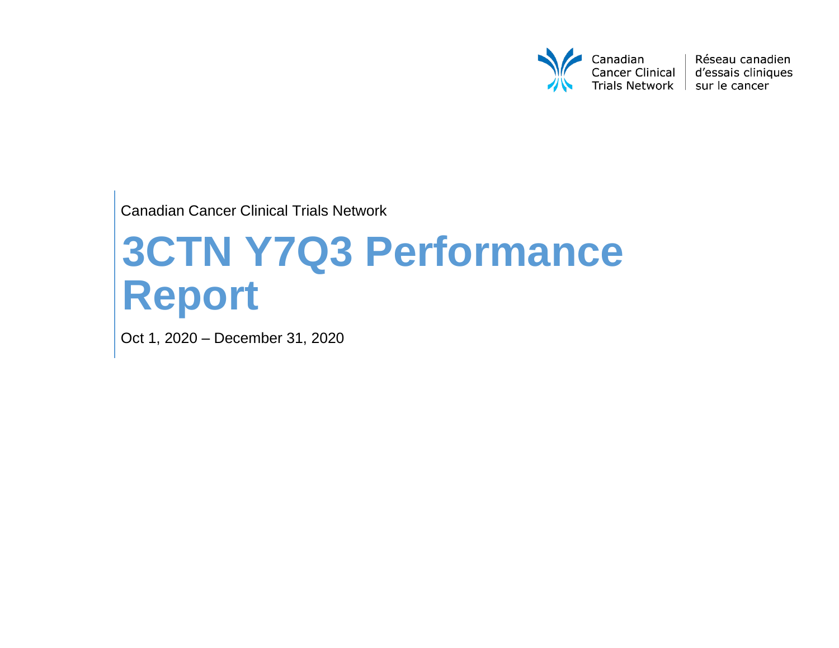

Réseau canadien d'essais cliniques

Canadian Cancer Clinical Trials Network

# **3CTN Y7Q3 Performance Report**

Oct 1, 2020 – December 31, 2020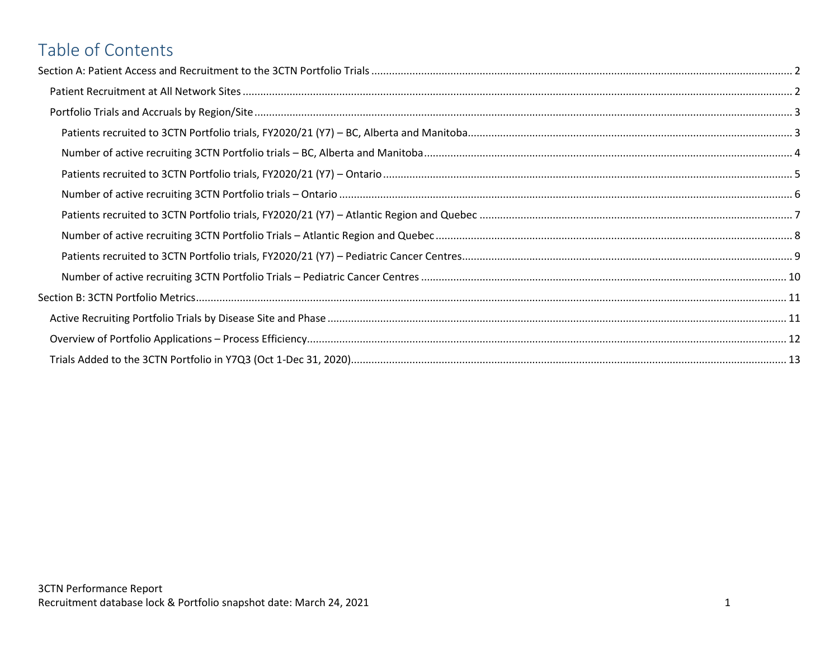# Table of Contents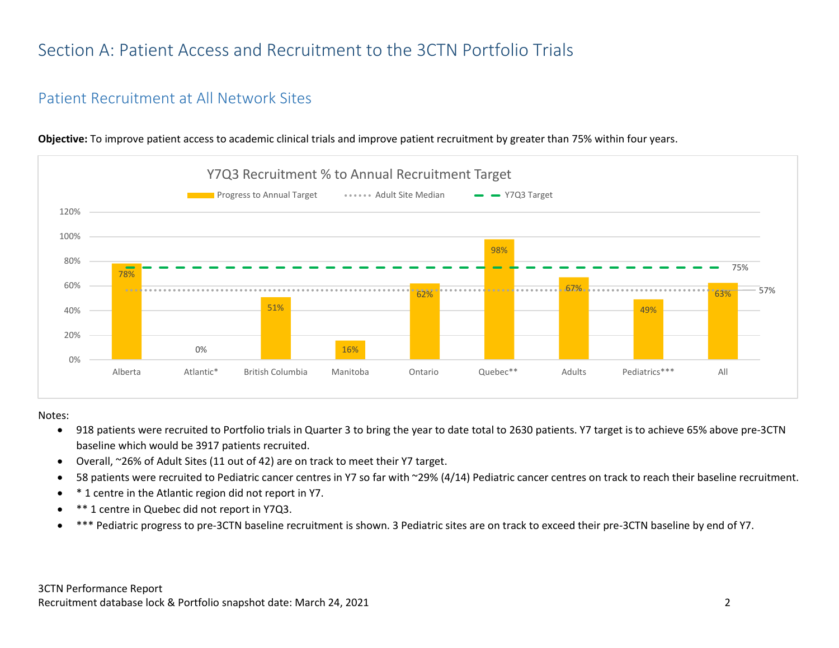# <span id="page-2-0"></span>Section A: Patient Access and Recruitment to the 3CTN Portfolio Trials

#### <span id="page-2-1"></span>Patient Recruitment at All Network Sites



**Objective:** To improve patient access to academic clinical trials and improve patient recruitment by greater than 75% within four years.

#### Notes:

- 918 patients were recruited to Portfolio trials in Quarter 3 to bring the year to date total to 2630 patients. Y7 target is to achieve 65% above pre-3CTN baseline which would be 3917 patients recruited.
- Overall, ~26% of Adult Sites (11 out of 42) are on track to meet their Y7 target.
- 58 patients were recruited to Pediatric cancer centres in Y7 so far with ~29% (4/14) Pediatric cancer centres on track to reach their baseline recruitment.
- \* 1 centre in the Atlantic region did not report in Y7.
- \*\* 1 centre in Quebec did not report in Y7Q3.
- \*\*\* Pediatric progress to pre-3CTN baseline recruitment is shown. 3 Pediatric sites are on track to exceed their pre-3CTN baseline by end of Y7.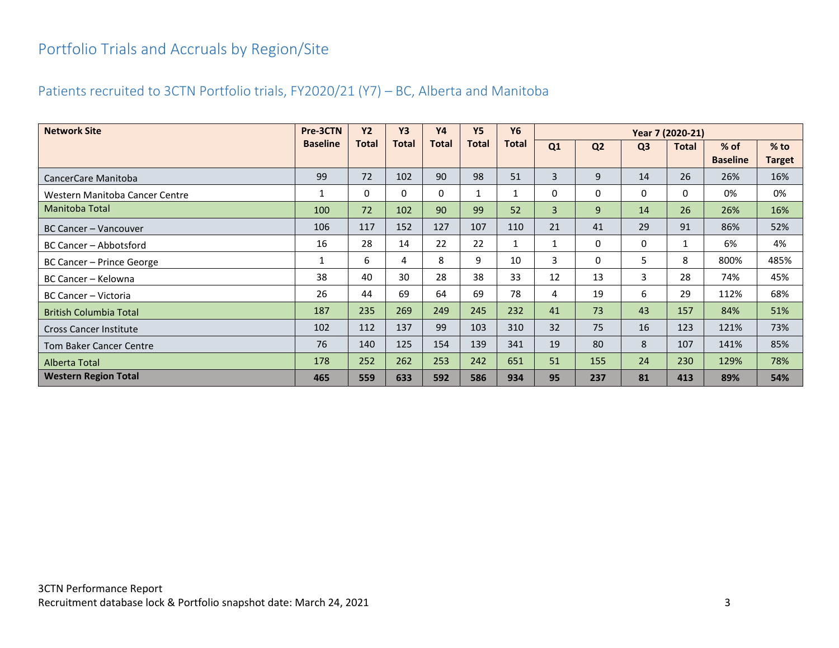# <span id="page-3-0"></span>Portfolio Trials and Accruals by Region/Site

## <span id="page-3-1"></span>Patients recruited to 3CTN Portfolio trials, FY2020/21 (Y7) – BC, Alberta and Manitoba

| <b>Network Site</b>            | Pre-3CTN        | <b>Y2</b>    | <b>Y3</b> | <b>Y4</b>    | <b>Y5</b>    | <b>Y6</b>    | Year 7 (2020-21) |                |                |              |                           |                  |
|--------------------------------|-----------------|--------------|-----------|--------------|--------------|--------------|------------------|----------------|----------------|--------------|---------------------------|------------------|
|                                | <b>Baseline</b> | <b>Total</b> | Total     | <b>Total</b> | <b>Total</b> | Total        | Q1               | Q <sub>2</sub> | Q <sub>3</sub> | <b>Total</b> | $%$ of<br><b>Baseline</b> | $%$ to<br>Target |
| CancerCare Manitoba            | 99              | 72           | 102       | 90           | 98           | 51           | 3                | 9              | 14             | 26           | 26%                       | 16%              |
| Western Manitoba Cancer Centre | 1               | 0            | 0         | 0            | 1            | $\mathbf{1}$ | 0                | $\Omega$       | 0              | 0            | 0%                        | 0%               |
| Manitoba Total                 | 100             | 72           | 102       | 90           | 99           | 52           | 3                | 9              | 14             | 26           | 26%                       | 16%              |
| BC Cancer - Vancouver          | 106             | 117          | 152       | 127          | 107          | 110          | 21               | 41             | 29             | 91           | 86%                       | 52%              |
| BC Cancer - Abbotsford         | 16              | 28           | 14        | 22           | 22           | $\mathbf{1}$ | 1                | 0              | 0              | 1            | 6%                        | 4%               |
| BC Cancer - Prince George      | 1               | 6            | 4         | 8            | 9            | 10           | 3                | $\Omega$       | 5              | 8            | 800%                      | 485%             |
| BC Cancer - Kelowna            | 38              | 40           | 30        | 28           | 38           | 33           | 12               | 13             | 3              | 28           | 74%                       | 45%              |
| BC Cancer - Victoria           | 26              | 44           | 69        | 64           | 69           | 78           | 4                | 19             | 6              | 29           | 112%                      | 68%              |
| <b>British Columbia Total</b>  | 187             | 235          | 269       | 249          | 245          | 232          | 41               | 73             | 43             | 157          | 84%                       | 51%              |
| <b>Cross Cancer Institute</b>  | 102             | 112          | 137       | 99           | 103          | 310          | 32 <sup>2</sup>  | 75             | 16             | 123          | 121%                      | 73%              |
| <b>Tom Baker Cancer Centre</b> | 76              | 140          | 125       | 154          | 139          | 341          | 19               | 80             | 8              | 107          | 141%                      | 85%              |
| Alberta Total                  | 178             | 252          | 262       | 253          | 242          | 651          | 51               | 155            | 24             | 230          | 129%                      | 78%              |
| <b>Western Region Total</b>    | 465             | 559          | 633       | 592          | 586          | 934          | 95               | 237            | 81             | 413          | 89%                       | 54%              |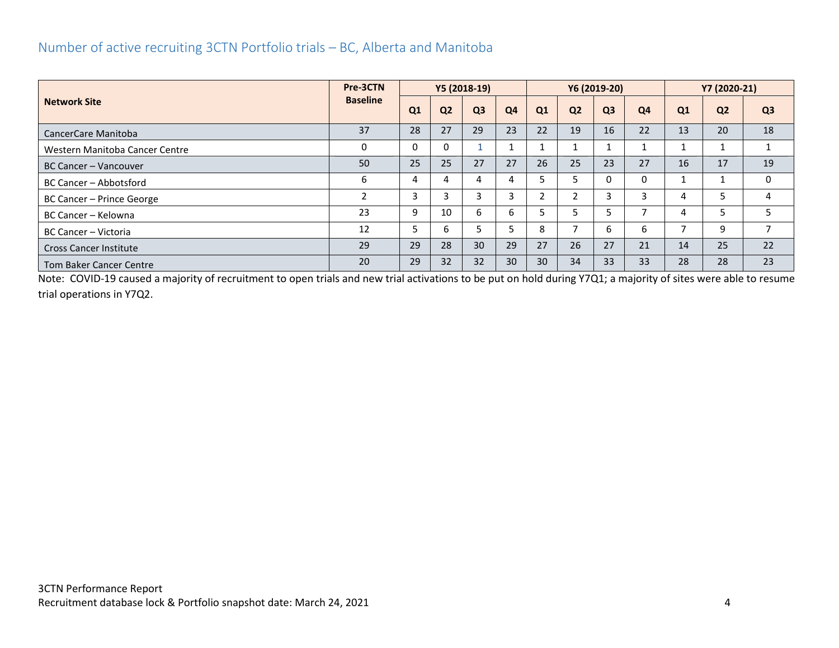#### <span id="page-4-0"></span>Number of active recruiting 3CTN Portfolio trials – BC, Alberta and Manitoba

|                                | Pre-3CTN        | Y5 (2018-19) |                |                |                |    |                | Y6 (2019-20)   |    | Y7 (2020-21)   |                |                |
|--------------------------------|-----------------|--------------|----------------|----------------|----------------|----|----------------|----------------|----|----------------|----------------|----------------|
| <b>Network Site</b>            | <b>Baseline</b> | Q1           | Q <sub>2</sub> | Q <sub>3</sub> | Q <sub>4</sub> | Q1 | Q <sub>2</sub> | Q <sub>3</sub> | Q4 | Q <sub>1</sub> | Q <sub>2</sub> | Q <sub>3</sub> |
| CancerCare Manitoba            | 37              | 28           | 27             | 29             | 23             | 22 | 19             | 16             | 22 | 13             | 20             | 18             |
| Western Manitoba Cancer Centre | $\Omega$        | 0            |                |                |                |    |                |                |    |                |                |                |
| BC Cancer – Vancouver          | 50              | 25           | 25             | 27             | 27             | 26 | 25             | 23             | 27 | 16             | 17             | 19             |
| BC Cancer – Abbotsford         | 6               | 4            |                | 4              |                |    |                | 0              | 0  |                |                | $\mathbf{0}$   |
| BC Cancer - Prince George      | $\overline{2}$  | 3            | 3              | 3              |                |    |                | 3              | 3  | 4              | 5              | 4              |
| BC Cancer - Kelowna            | 23              | 9            | 10             | 6              | h              |    |                |                | ⇁  | 4              | 5              | 5              |
| BC Cancer - Victoria           | 12              | 5            | 6              |                |                | 8  |                | 6              | 6  |                | 9              |                |
| <b>Cross Cancer Institute</b>  | 29              | 29           | 28             | 30             | 29             | 27 | 26             | 27             | 21 | 14             | 25             | 22             |
| <b>Tom Baker Cancer Centre</b> | 20              | 29           | 32             | 32             | 30             | 30 | 34             | 33             | 33 | 28             | 28             | 23             |

Note: COVID-19 caused a majority of recruitment to open trials and new trial activations to be put on hold during Y7Q1; a majority of sites were able to resume trial operations in Y7Q2.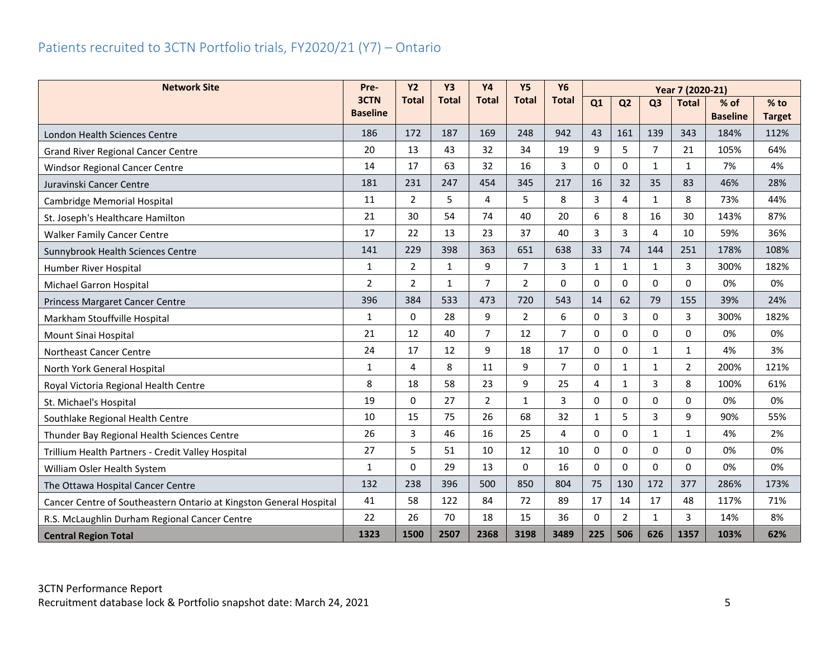## <span id="page-5-0"></span>Patients recruited to 3CTN Portfolio trials, FY2020/21 (Y7) – Ontario

| <b>Network Site</b>                                                | Pre-                    | <b>Y2</b>      | <b>Y3</b>    | <b>Y4</b>      | Y <sub>5</sub> | <b>Y6</b>      |              | Year 7 (2020-21) |                |                |                           |                         |
|--------------------------------------------------------------------|-------------------------|----------------|--------------|----------------|----------------|----------------|--------------|------------------|----------------|----------------|---------------------------|-------------------------|
|                                                                    | 3CTN<br><b>Baseline</b> | <b>Total</b>   | <b>Total</b> | <b>Total</b>   | <b>Total</b>   | <b>Total</b>   | Q1           | Q <sub>2</sub>   | Q <sub>3</sub> | <b>Total</b>   | $%$ of<br><b>Baseline</b> | $%$ to<br><b>Target</b> |
| London Health Sciences Centre                                      | 186                     | 172            | 187          | 169            | 248            | 942            | 43           | 161              | 139            | 343            | 184%                      | 112%                    |
| <b>Grand River Regional Cancer Centre</b>                          | 20                      | 13             | 43           | 32             | 34             | 19             | 9            | 5                | $\overline{7}$ | 21             | 105%                      | 64%                     |
| <b>Windsor Regional Cancer Centre</b>                              | 14                      | 17             | 63           | 32             | 16             | 3              | $\Omega$     | $\mathbf 0$      | $\mathbf{1}$   | $\mathbf{1}$   | 7%                        | 4%                      |
| Juravinski Cancer Centre                                           | 181                     | 231            | 247          | 454            | 345            | 217            | 16           | 32               | 35             | 83             | 46%                       | 28%                     |
| Cambridge Memorial Hospital                                        | 11                      | $\overline{2}$ | 5            | 4              | 5              | 8              | 3            | 4                | $\mathbf{1}$   | 8              | 73%                       | 44%                     |
| St. Joseph's Healthcare Hamilton                                   | 21                      | 30             | 54           | 74             | 40             | 20             | 6            | 8                | 16             | 30             | 143%                      | 87%                     |
| <b>Walker Family Cancer Centre</b>                                 | 17                      | 22             | 13           | 23             | 37             | 40             | 3            | 3                | 4              | 10             | 59%                       | 36%                     |
| Sunnybrook Health Sciences Centre                                  | 141                     | 229            | 398          | 363            | 651            | 638            | 33           | 74               | 144            | 251            | 178%                      | 108%                    |
| Humber River Hospital                                              | 1                       | $\overline{2}$ | $\mathbf{1}$ | 9              | $\overline{7}$ | 3              | 1            | 1                | $\mathbf{1}$   | 3              | 300%                      | 182%                    |
| Michael Garron Hospital                                            | $\overline{2}$          | $\overline{2}$ | $\mathbf{1}$ | $\overline{7}$ | $\overline{2}$ | 0              | $\Omega$     | 0                | $\Omega$       | $\Omega$       | 0%                        | 0%                      |
| <b>Princess Margaret Cancer Centre</b>                             | 396                     | 384            | 533          | 473            | 720            | 543            | 14           | 62               | 79             | 155            | 39%                       | 24%                     |
| Markham Stouffville Hospital                                       | 1                       | $\mathbf{0}$   | 28           | 9              | $\overline{2}$ | 6              | 0            | 3                | $\mathbf 0$    | 3              | 300%                      | 182%                    |
| Mount Sinai Hospital                                               | 21                      | 12             | 40           | $\overline{7}$ | 12             | $\overline{7}$ | $\Omega$     | 0                | $\Omega$       | $\mathbf{0}$   | 0%                        | 0%                      |
| Northeast Cancer Centre                                            | 24                      | 17             | 12           | 9              | 18             | 17             | $\Omega$     | 0                | $\mathbf{1}$   | $\mathbf{1}$   | 4%                        | 3%                      |
| North York General Hospital                                        | 1                       | $\overline{4}$ | 8            | 11             | 9              | $\overline{7}$ | $\Omega$     | 1                | 1              | $\overline{2}$ | 200%                      | 121%                    |
| Royal Victoria Regional Health Centre                              | 8                       | 18             | 58           | 23             | 9              | 25             | 4            | $\mathbf{1}$     | 3              | 8              | 100%                      | 61%                     |
| St. Michael's Hospital                                             | 19                      | $\Omega$       | 27           | $\overline{2}$ | $\mathbf{1}$   | 3              | 0            | 0                | 0              | $\Omega$       | 0%                        | 0%                      |
| Southlake Regional Health Centre                                   | 10                      | 15             | 75           | 26             | 68             | 32             | $\mathbf{1}$ | 5                | 3              | 9              | 90%                       | 55%                     |
| Thunder Bay Regional Health Sciences Centre                        | 26                      | 3              | 46           | 16             | 25             | 4              | 0            | 0                | $\mathbf{1}$   | $\mathbf{1}$   | 4%                        | 2%                      |
| Trillium Health Partners - Credit Valley Hospital                  | 27                      | 5              | 51           | 10             | 12             | 10             | $\Omega$     | 0                | $\Omega$       | $\mathbf{0}$   | 0%                        | 0%                      |
| William Osler Health System                                        | $\mathbf{1}$            | $\Omega$       | 29           | 13             | $\Omega$       | 16             | $\Omega$     | 0                | $\Omega$       | $\Omega$       | 0%                        | 0%                      |
| The Ottawa Hospital Cancer Centre                                  | 132                     | 238            | 396          | 500            | 850            | 804            | 75           | 130              | 172            | 377            | 286%                      | 173%                    |
| Cancer Centre of Southeastern Ontario at Kingston General Hospital | 41                      | 58             | 122          | 84             | 72             | 89             | 17           | 14               | 17             | 48             | 117%                      | 71%                     |
| R.S. McLaughlin Durham Regional Cancer Centre                      | 22                      | 26             | 70           | 18             | 15             | 36             | 0            | 2                | $\mathbf{1}$   | 3              | 14%                       | 8%                      |
| <b>Central Region Total</b>                                        | 1323                    | 1500           | 2507         | 2368           | 3198           | 3489           | 225          | 506              | 626            | 1357           | 103%                      | 62%                     |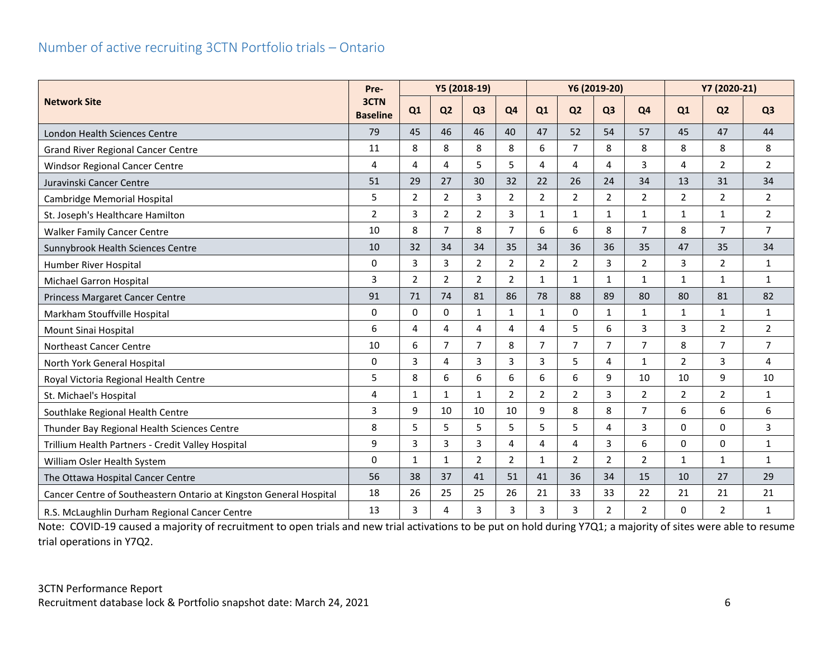#### <span id="page-6-0"></span>Number of active recruiting 3CTN Portfolio trials – Ontario

|                                                                    |                         | Y5 (2018-19)<br>Pre- |                |                |                |                |                | Y6 (2019-20)   |                | Y7 (2020-21)   |                |                |
|--------------------------------------------------------------------|-------------------------|----------------------|----------------|----------------|----------------|----------------|----------------|----------------|----------------|----------------|----------------|----------------|
| <b>Network Site</b>                                                | 3CTN<br><b>Baseline</b> | Q1                   | Q <sub>2</sub> | Q <sub>3</sub> | Q <sub>4</sub> | Q1             | Q <sub>2</sub> | Q <sub>3</sub> | <b>Q4</b>      | Q1             | Q <sub>2</sub> | Q <sub>3</sub> |
| London Health Sciences Centre                                      | 79                      | 45                   | 46             | 46             | 40             | 47             | 52             | 54             | 57             | 45             | 47             | 44             |
| <b>Grand River Regional Cancer Centre</b>                          | 11                      | 8                    | 8              | 8              | 8              | 6              | $\overline{7}$ | 8              | 8              | 8              | 8              | 8              |
| <b>Windsor Regional Cancer Centre</b>                              | 4                       | 4                    | 4              | 5              | 5              | 4              | 4              | 4              | 3              | $\overline{4}$ | $\overline{2}$ | $\overline{2}$ |
| Juravinski Cancer Centre                                           | 51                      | 29                   | 27             | 30             | 32             | 22             | 26             | 24             | 34             | 13             | 31             | 34             |
| Cambridge Memorial Hospital                                        | 5                       | $\overline{2}$       | $\overline{2}$ | 3              | $\overline{2}$ | 2              | $\overline{2}$ | 2              | $\overline{2}$ | $\overline{2}$ | $\overline{2}$ | $\overline{2}$ |
| St. Joseph's Healthcare Hamilton                                   | $\overline{2}$          | 3                    | $\overline{2}$ | $\overline{2}$ | $\overline{3}$ | $\mathbf{1}$   | $\mathbf{1}$   | $\mathbf{1}$   | $\mathbf{1}$   | $\mathbf{1}$   | $\mathbf{1}$   | $\overline{2}$ |
| <b>Walker Family Cancer Centre</b>                                 | 10                      | 8                    | $\overline{7}$ | 8              | $\overline{7}$ | 6              | 6              | 8              | $\overline{7}$ | 8              | $\overline{7}$ | $\overline{7}$ |
| Sunnybrook Health Sciences Centre                                  | 10                      | 32                   | 34             | 34             | 35             | 34             | 36             | 36             | 35             | 47             | 35             | 34             |
| Humber River Hospital                                              | $\mathbf{0}$            | 3                    | 3              | $\overline{2}$ | $\overline{2}$ | $\overline{2}$ | $\overline{2}$ | 3              | $\overline{2}$ | 3              | $\overline{2}$ | $\mathbf{1}$   |
| Michael Garron Hospital                                            | 3                       | $\overline{2}$       | $\overline{2}$ | $\overline{2}$ | $\overline{2}$ | $\mathbf{1}$   | $\mathbf{1}$   | $\mathbf{1}$   | 1              | $\mathbf{1}$   | 1              | $\mathbf{1}$   |
| Princess Margaret Cancer Centre                                    | 91                      | 71                   | 74             | 81             | 86             | 78             | 88             | 89             | 80             | 80             | 81             | 82             |
| Markham Stouffville Hospital                                       | $\mathbf{0}$            | $\Omega$             | $\mathbf{0}$   | $\mathbf{1}$   | $\mathbf{1}$   | $\mathbf{1}$   | 0              | $\mathbf{1}$   | $\mathbf{1}$   | 1              | 1              | $\mathbf{1}$   |
| Mount Sinai Hospital                                               | 6                       | 4                    | 4              | 4              | 4              | 4              | 5              | 6              | 3              | 3              | $\overline{2}$ | $\overline{2}$ |
| Northeast Cancer Centre                                            | 10                      | 6                    | $\overline{7}$ | $\overline{7}$ | 8              | $\overline{7}$ | $\overline{7}$ | $\overline{7}$ | $\overline{7}$ | 8              | $\overline{7}$ | $\overline{7}$ |
| North York General Hospital                                        | $\mathbf 0$             | 3                    | 4              | 3              | 3              | 3              | 5              | 4              | 1              | $\overline{2}$ | 3              | 4              |
| Royal Victoria Regional Health Centre                              | 5                       | 8                    | 6              | 6              | 6              | 6              | 6              | 9              | 10             | 10             | 9              | 10             |
| St. Michael's Hospital                                             | 4                       | $\mathbf{1}$         | $\mathbf{1}$   | $\mathbf{1}$   | $\overline{2}$ | $\overline{2}$ | $\overline{2}$ | 3              | $\overline{2}$ | $\overline{2}$ | $\overline{2}$ | $\mathbf{1}$   |
| Southlake Regional Health Centre                                   | 3                       | 9                    | 10             | 10             | 10             | 9              | 8              | 8              | 7              | 6              | 6              | 6              |
| Thunder Bay Regional Health Sciences Centre                        | 8                       | 5                    | 5              | 5              | 5              | 5              | 5              | 4              | 3              | $\mathbf{0}$   | 0              | 3              |
| Trillium Health Partners - Credit Valley Hospital                  | 9                       | 3                    | 3              | 3              | 4              | 4              | 4              | 3              | 6              | 0              | 0              | $\mathbf{1}$   |
| William Osler Health System                                        | $\mathbf{0}$            | $\mathbf{1}$         | $\mathbf{1}$   | $\overline{2}$ | $\overline{2}$ | $\mathbf{1}$   | $\overline{2}$ | $\overline{2}$ | $\overline{2}$ | $\mathbf{1}$   | $\mathbf{1}$   | $\mathbf{1}$   |
| The Ottawa Hospital Cancer Centre                                  | 56                      | 38                   | 37             | 41             | 51             | 41             | 36             | 34             | 15             | 10             | 27             | 29             |
| Cancer Centre of Southeastern Ontario at Kingston General Hospital | 18                      | 26                   | 25             | 25             | 26             | 21             | 33             | 33             | 22             | 21             | 21             | 21             |
| R.S. McLaughlin Durham Regional Cancer Centre                      | 13                      | 3                    | 4              | 3              | 3              | 3              | 3              | $\overline{2}$ | $\overline{a}$ | $\Omega$       | $\overline{2}$ | $\mathbf{1}$   |

Note: COVID-19 caused a majority of recruitment to open trials and new trial activations to be put on hold during Y7Q1; a majority of sites were able to resume trial operations in Y7Q2.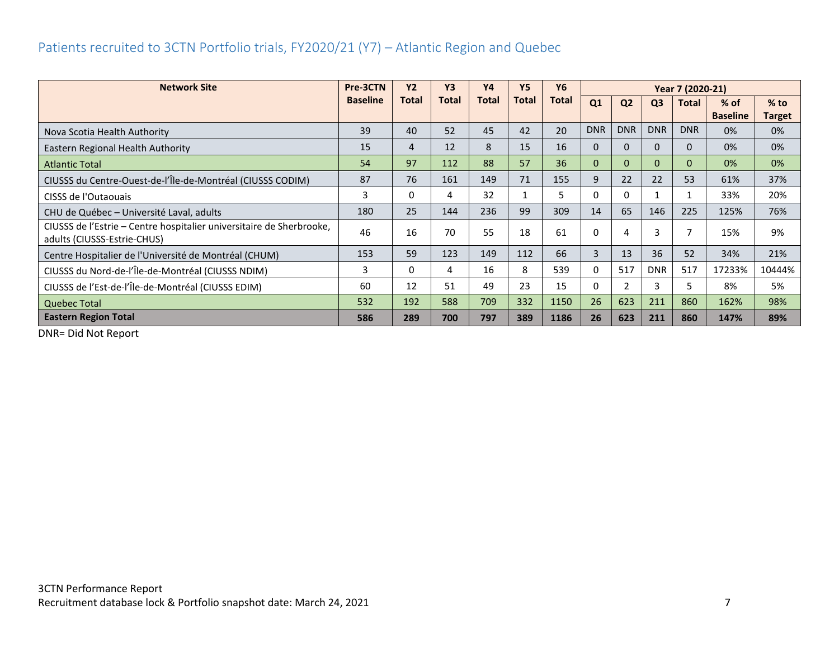## <span id="page-7-0"></span>Patients recruited to 3CTN Portfolio trials, FY2020/21 (Y7) – Atlantic Region and Quebec

| <b>Network Site</b>                                                                                 | Pre-3CTN        | <b>Y2</b> | <b>Y3</b> | <b>Y4</b>    | <b>Y5</b> | Y6           |            | Year 7 (2020-21) |                |              |                 |        |
|-----------------------------------------------------------------------------------------------------|-----------------|-----------|-----------|--------------|-----------|--------------|------------|------------------|----------------|--------------|-----------------|--------|
|                                                                                                     | <b>Baseline</b> | Total     | Total     | <b>Total</b> | Total     | <b>Total</b> | Q1         | Q <sub>2</sub>   | Q <sub>3</sub> | <b>Total</b> | $%$ of          | $%$ to |
|                                                                                                     |                 |           |           |              |           |              |            |                  |                |              | <b>Baseline</b> | Target |
| Nova Scotia Health Authority                                                                        | 39              | 40        | 52        | 45           | 42        | 20           | <b>DNR</b> | <b>DNR</b>       | <b>DNR</b>     | <b>DNR</b>   | 0%              | 0%     |
| Eastern Regional Health Authority                                                                   | 15              | 4         | 12        | 8            | 15        | 16           | $\Omega$   | $\Omega$         | $\Omega$       | 0            | 0%              | 0%     |
| <b>Atlantic Total</b>                                                                               | 54              | 97        | 112       | 88           | 57        | 36           | $\Omega$   | $\Omega$         | $\mathbf{0}$   | $\mathbf{0}$ | 0%              | 0%     |
| CIUSSS du Centre-Ouest-de-l'Île-de-Montréal (CIUSSS CODIM)                                          | 87              | 76        | 161       | 149          | 71        | 155          | 9          | 22               | 22             | 53           | 61%             | 37%    |
| CISSS de l'Outaouais                                                                                | 3               | 0         | 4         | 32           |           | 5            | 0          | 0                |                |              | 33%             | 20%    |
| CHU de Québec - Université Laval, adults                                                            | 180             | 25        | 144       | 236          | 99        | 309          | 14         | 65               | 146            | 225          | 125%            | 76%    |
| CIUSSS de l'Estrie – Centre hospitalier universitaire de Sherbrooke,<br>adults (CIUSSS-Estrie-CHUS) | 46              | 16        | 70        | 55           | 18        | 61           | 0          | $\overline{a}$   | $\overline{3}$ |              | 15%             | 9%     |
| Centre Hospitalier de l'Université de Montréal (CHUM)                                               | 153             | 59        | 123       | 149          | 112       | 66           | 3          | 13               | 36             | 52           | 34%             | 21%    |
| CIUSSS du Nord-de-l'Île-de-Montréal (CIUSSS NDIM)                                                   | 3               | $\Omega$  | 4         | 16           | 8         | 539          | 0          | 517              | <b>DNR</b>     | 517          | 17233%          | 10444% |
| CIUSSS de l'Est-de-l'Île-de-Montréal (CIUSSS EDIM)                                                  | 60              | 12        | 51        | 49           | 23        | 15           | $\Omega$   | $\mathcal{P}$    | 3              | 5.           | 8%              | 5%     |
| <b>Quebec Total</b>                                                                                 | 532             | 192       | 588       | 709          | 332       | 1150         | 26         | 623              | 211            | 860          | 162%            | 98%    |
| <b>Eastern Region Total</b>                                                                         | 586             | 289       | 700       | 797          | 389       | 1186         | 26         | 623              | 211            | 860          | 147%            | 89%    |

DNR= Did Not Report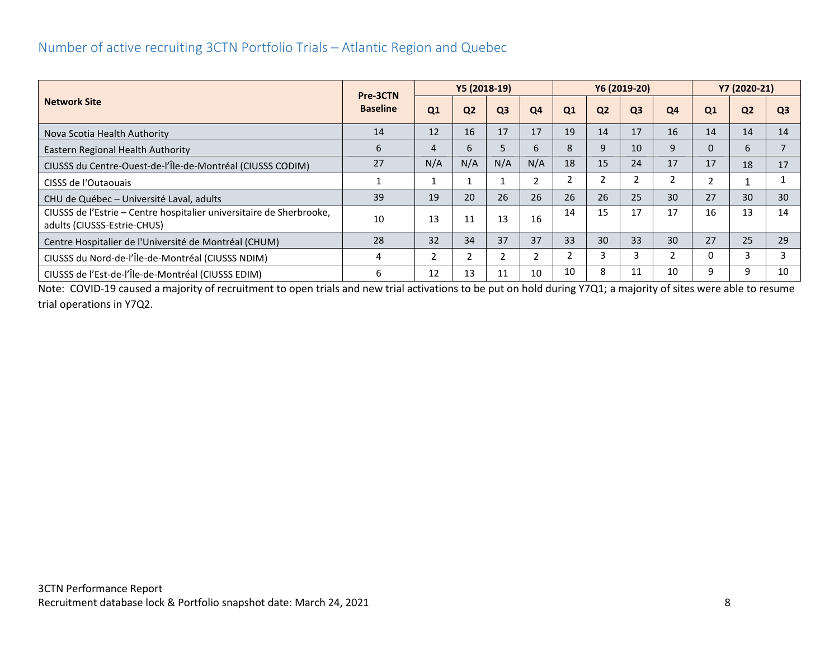#### <span id="page-8-0"></span>Number of active recruiting 3CTN Portfolio Trials – Atlantic Region and Quebec

|                                                                                                     | Pre-3CTN        |     | Y5 (2018-19)   |                |                |                |                | Y6 (2019-20)   | Y7 (2020-21) |                          |                 |                |
|-----------------------------------------------------------------------------------------------------|-----------------|-----|----------------|----------------|----------------|----------------|----------------|----------------|--------------|--------------------------|-----------------|----------------|
| <b>Network Site</b>                                                                                 | <b>Baseline</b> | Q1  | Q <sub>2</sub> | Q <sub>3</sub> | Q <sub>4</sub> | Q1             | Q <sub>2</sub> | Q <sub>3</sub> | Q4           | Q1                       | Q <sub>2</sub>  | Q <sub>3</sub> |
| Nova Scotia Health Authority                                                                        | 14              | 12  | 16             | 17             | 17             | 19             | 14             | 17             | 16           | 14                       | 14              | 14             |
| Eastern Regional Health Authority                                                                   | 6               |     | 6              | 5              | ь              | 8              | 9              | 10             | 9            | 0                        | 6               |                |
| CIUSSS du Centre-Ouest-de-l'Île-de-Montréal (CIUSSS CODIM)                                          | 27              | N/A | N/A            | N/A            | N/A            | 18             | 15             | 24             | 17           | 17                       | 18              | 17             |
| CISSS de l'Outaouais                                                                                |                 |     |                |                |                | 2              | 2              |                |              | $\overline{\phantom{0}}$ |                 |                |
| CHU de Québec - Université Laval, adults                                                            | 39              | 19  | 20             | 26             | 26             | 26             | 26             | 25             | 30           | 27                       | 30 <sup>°</sup> | 30             |
| CIUSSS de l'Estrie – Centre hospitalier universitaire de Sherbrooke,<br>adults (CIUSSS-Estrie-CHUS) | 10              | 13  | 11             | 13             | 16             | 14             | 15             | 17             | 17           | 16                       | 13              | 14             |
| Centre Hospitalier de l'Université de Montréal (CHUM)                                               | 28              | 32  | 34             | 37             | 37             | 33             | 30             | 33             | 30           | 27                       | 25              | 29             |
| CIUSSS du Nord-de-l'Île-de-Montréal (CIUSSS NDIM)                                                   | 4               |     |                |                |                | $\overline{2}$ | 3              | 3              |              | 0                        |                 |                |
| CIUSSS de l'Est-de-l'Île-de-Montréal (CIUSSS EDIM)                                                  | 6               | 12  | 13             | 11             | 10             | 10             | 8              | 11             | 10           | 9                        | q               | 10             |

Note: COVID-19 caused a majority of recruitment to open trials and new trial activations to be put on hold during Y7Q1; a majority of sites were able to resume trial operations in Y7Q2.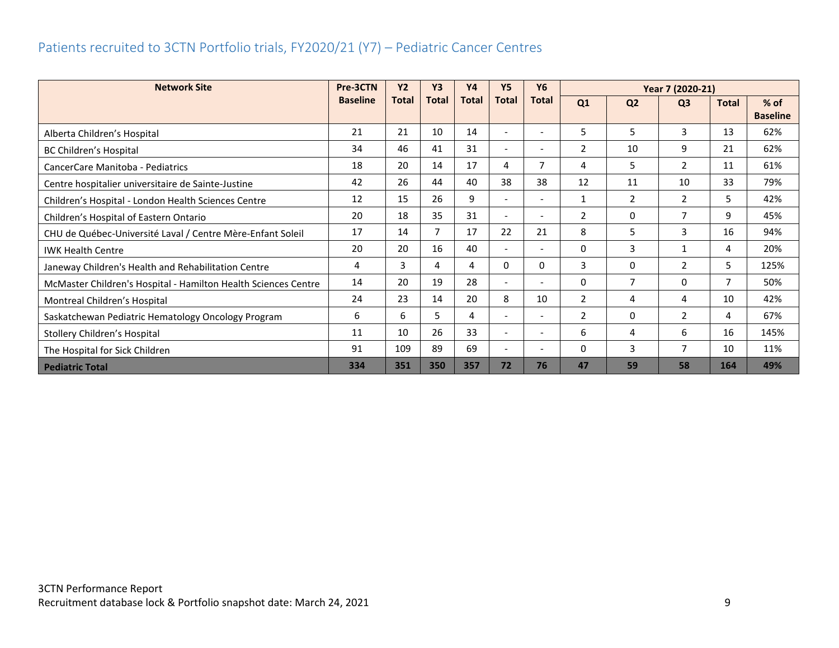## <span id="page-9-0"></span>Patients recruited to 3CTN Portfolio trials, FY2020/21 (Y7) – Pediatric Cancer Centres

| <b>Network Site</b>                                            | Pre-3CTN        | <b>Y2</b>    | <b>Y3</b>    | <b>Y4</b>    | <b>Y5</b>                | <b>Y6</b>                | Year 7 (2020-21) |                |                |              |                 |
|----------------------------------------------------------------|-----------------|--------------|--------------|--------------|--------------------------|--------------------------|------------------|----------------|----------------|--------------|-----------------|
|                                                                | <b>Baseline</b> | <b>Total</b> | <b>Total</b> | <b>Total</b> | <b>Total</b>             | <b>Total</b>             | Q1               | Q <sub>2</sub> | Q <sub>3</sub> | <b>Total</b> | $%$ of          |
|                                                                |                 |              |              |              |                          |                          |                  |                |                |              | <b>Baseline</b> |
| Alberta Children's Hospital                                    | 21              | 21           | 10           | 14           | $\overline{a}$           |                          | 5                | 5              | 3              | 13           | 62%             |
| BC Children's Hospital                                         | 34              | 46           | 41           | 31           | $\overline{\phantom{0}}$ | $\overline{\phantom{0}}$ | $\overline{2}$   | 10             | 9              | 21           | 62%             |
| CancerCare Manitoba - Pediatrics                               | 18              | 20           | 14           | 17           | 4                        |                          | 4                | 5              | 2              | 11           | 61%             |
| Centre hospitalier universitaire de Sainte-Justine             | 42              | 26           | 44           | 40           | 38                       | 38                       | 12               | 11             | 10             | 33           | 79%             |
| Children's Hospital - London Health Sciences Centre            | 12              | 15           | 26           | 9            | $\overline{\phantom{0}}$ | $\overline{\phantom{0}}$ | $\mathbf{1}$     | 2              | 2              | 5            | 42%             |
| Children's Hospital of Eastern Ontario                         | 20              | 18           | 35           | 31           | $\overline{\phantom{0}}$ | $\overline{\phantom{0}}$ | $\overline{2}$   | 0              | 7              | 9            | 45%             |
| CHU de Québec-Université Laval / Centre Mère-Enfant Soleil     | 17              | 14           | 7            | 17           | 22                       | 21                       | 8                | 5              | 3              | 16           | 94%             |
| <b>IWK Health Centre</b>                                       | 20              | 20           | 16           | 40           | $\overline{\phantom{0}}$ | $\overline{\phantom{0}}$ | 0                | 3              | 1              | 4            | 20%             |
| Janeway Children's Health and Rehabilitation Centre            | 4               | 3            | 4            | 4            | $\Omega$                 | 0                        | 3                | 0              | $\overline{2}$ | 5            | 125%            |
| McMaster Children's Hospital - Hamilton Health Sciences Centre | 14              | 20           | 19           | 28           | $\overline{\phantom{0}}$ | -                        | 0                | $\overline{7}$ | 0              | 7            | 50%             |
| Montreal Children's Hospital                                   | 24              | 23           | 14           | 20           | 8                        | 10                       | 2                | 4              | 4              | 10           | 42%             |
| Saskatchewan Pediatric Hematology Oncology Program             | 6               | 6            | 5            | 4            |                          |                          | $\overline{2}$   | 0              | $\overline{2}$ | 4            | 67%             |
| Stollery Children's Hospital                                   | 11              | 10           | 26           | 33           | $\overline{\phantom{0}}$ | $\overline{\phantom{0}}$ | 6                | 4              | 6              | 16           | 145%            |
| The Hospital for Sick Children                                 | 91              | 109          | 89           | 69           | $\overline{\phantom{0}}$ | $\overline{\phantom{0}}$ | 0                | 3              | 7              | 10           | 11%             |
| <b>Pediatric Total</b>                                         | 334             | 351          | 350          | 357          | 72                       | 76                       | 47               | 59             | 58             | 164          | 49%             |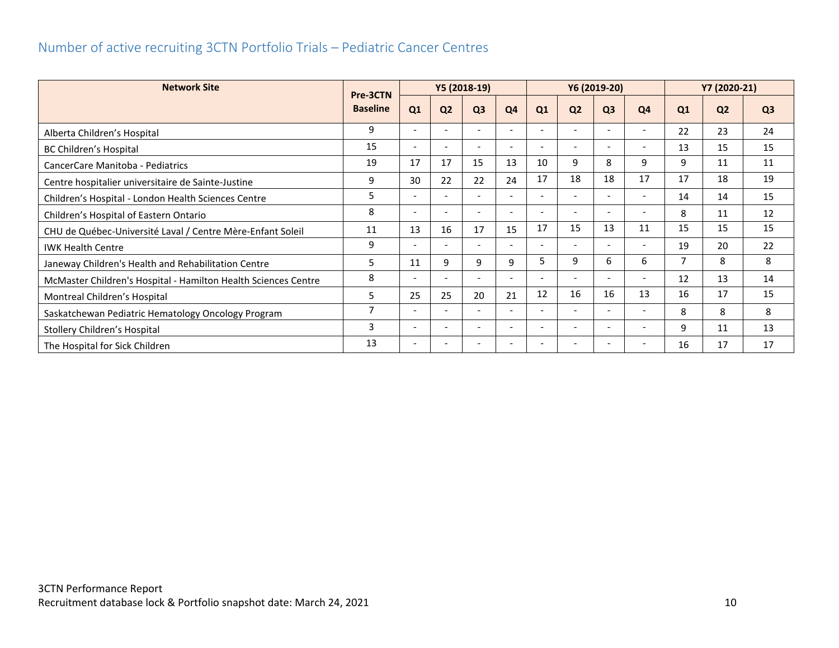## <span id="page-10-0"></span>Number of active recruiting 3CTN Portfolio Trials – Pediatric Cancer Centres

| <b>Network Site</b>                                            | Pre-3CTN        |                          |                          | Y5 (2018-19)             |                          |    |                          | Y6 (2019-20)                 |                              |    | Y7 (2020-21)   |                |
|----------------------------------------------------------------|-----------------|--------------------------|--------------------------|--------------------------|--------------------------|----|--------------------------|------------------------------|------------------------------|----|----------------|----------------|
|                                                                | <b>Baseline</b> | Q1                       | Q <sub>2</sub>           | Q <sub>3</sub>           | Q <sub>4</sub>           | Q1 | Q <sub>2</sub>           | Q <sub>3</sub>               | Q4                           | Q1 | Q <sub>2</sub> | Q <sub>3</sub> |
| Alberta Children's Hospital                                    | 9               | $\overline{\phantom{0}}$ |                          |                          |                          |    |                          |                              |                              | 22 | 23             | 24             |
| BC Children's Hospital                                         | 15              | $\overline{\phantom{a}}$ | $\overline{\phantom{a}}$ | $\overline{\phantom{a}}$ | $\overline{\phantom{0}}$ |    | $\overline{\phantom{0}}$ | $\overline{\phantom{a}}$     | $\overline{\phantom{a}}$     | 13 | 15             | 15             |
| CancerCare Manitoba - Pediatrics                               | 19              | 17                       | 17                       | 15                       | 13                       | 10 | 9                        | 8                            | 9                            | 9  | 11             | 11             |
| Centre hospitalier universitaire de Sainte-Justine             | 9               | 30                       | 22                       | 22                       | 24                       | 17 | 18                       | 18                           | 17                           | 17 | 18             | 19             |
| Children's Hospital - London Health Sciences Centre            | 5               | $\overline{\phantom{a}}$ |                          |                          |                          |    |                          |                              |                              | 14 | 14             | 15             |
| Children's Hospital of Eastern Ontario                         | 8               | $\overline{\phantom{a}}$ | $\overline{\phantom{a}}$ | $\overline{a}$           |                          |    | $\overline{\phantom{a}}$ | $\overline{\phantom{a}}$     |                              | 8  | 11             | 12             |
| CHU de Québec-Université Laval / Centre Mère-Enfant Soleil     | 11              | 13                       | 16                       | 17                       | 15                       | 17 | 15                       | 13                           | 11                           | 15 | 15             | 15             |
| <b>IWK Health Centre</b>                                       | 9               | $\overline{\phantom{a}}$ | $\overline{\phantom{a}}$ |                          |                          |    | $\sim$                   | $\overline{\phantom{a}}$     |                              | 19 | 20             | 22             |
| Janeway Children's Health and Rehabilitation Centre            | 5               | 11                       | 9                        | 9                        | 9                        | 5. | 9                        | 6                            | 6                            | 7  | 8              | 8              |
| McMaster Children's Hospital - Hamilton Health Sciences Centre | 8               | $\overline{\phantom{a}}$ |                          |                          |                          |    |                          | $\qquad \qquad \blacksquare$ |                              | 12 | 13             | 14             |
| Montreal Children's Hospital                                   | 5               | 25                       | 25                       | 20                       | 21                       | 12 | 16                       | 16                           | 13                           | 16 | 17             | 15             |
| Saskatchewan Pediatric Hematology Oncology Program             | $\overline{7}$  |                          |                          |                          |                          |    |                          | ٠                            |                              | 8  | 8              | 8              |
| Stollery Children's Hospital                                   | 3               | $\overline{\phantom{a}}$ | $\overline{\phantom{a}}$ |                          |                          |    | $\overline{\phantom{a}}$ | $\overline{\phantom{0}}$     | $\qquad \qquad \blacksquare$ | 9  | 11             | 13             |
| The Hospital for Sick Children                                 | 13              |                          |                          |                          |                          |    |                          |                              |                              | 16 | 17             | 17             |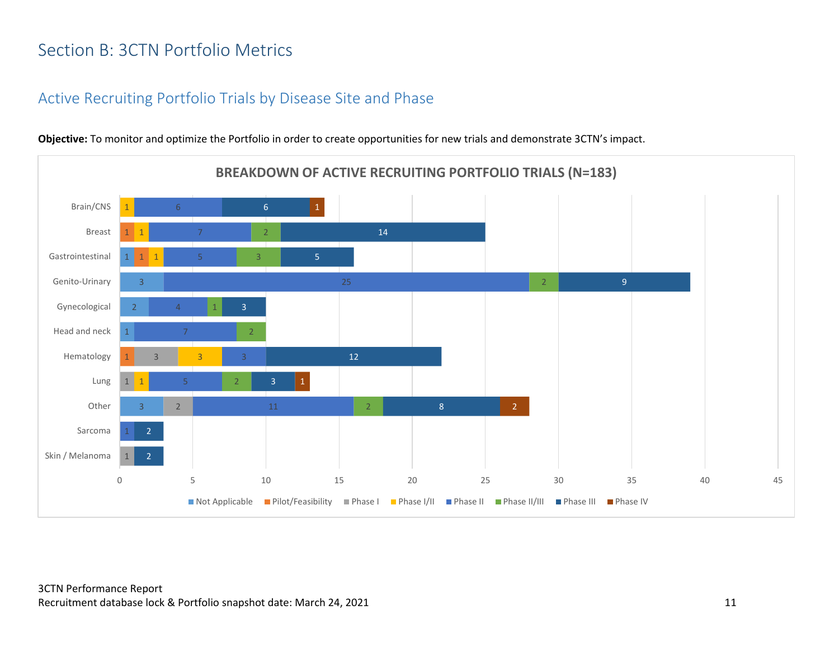# <span id="page-11-0"></span>Section B: 3CTN Portfolio Metrics

#### <span id="page-11-1"></span>Active Recruiting Portfolio Trials by Disease Site and Phase



**Objective:** To monitor and optimize the Portfolio in order to create opportunities for new trials and demonstrate 3CTN's impact.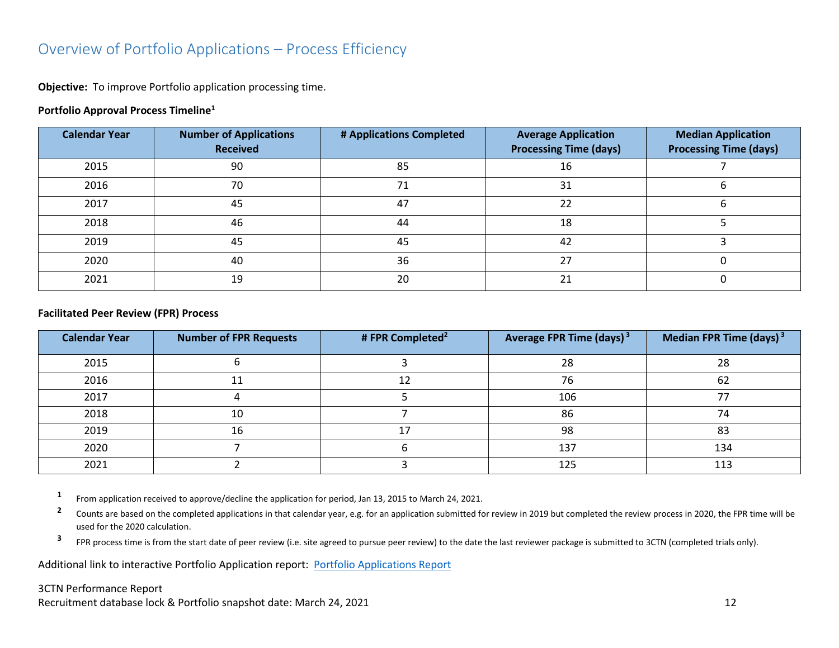#### <span id="page-12-0"></span>Overview of Portfolio Applications – Process Efficiency

**Objective:** To improve Portfolio application processing time.

#### **Portfolio Approval Process Timeline<sup>1</sup>**

| <b>Calendar Year</b> | <b>Number of Applications</b><br><b>Received</b> | # Applications Completed | <b>Average Application</b><br><b>Processing Time (days)</b> | <b>Median Application</b><br><b>Processing Time (days)</b> |
|----------------------|--------------------------------------------------|--------------------------|-------------------------------------------------------------|------------------------------------------------------------|
| 2015                 | 90                                               | 85                       | 16                                                          |                                                            |
| 2016                 | 70                                               | 71                       | 31                                                          |                                                            |
| 2017                 | 45                                               | 47                       | 22                                                          |                                                            |
| 2018                 | 46                                               | 44                       | 18                                                          |                                                            |
| 2019                 | 45                                               | 45                       | 42                                                          |                                                            |
| 2020                 | 40                                               | 36                       | 27                                                          |                                                            |
| 2021                 | 19                                               | 20                       | 21                                                          |                                                            |

#### **Facilitated Peer Review (FPR) Process**

| <b>Calendar Year</b> | <b>Number of FPR Requests</b> | # FPR Completed <sup>2</sup> | Average FPR Time (days) <sup>3</sup> | Median FPR Time (days) $3$ |
|----------------------|-------------------------------|------------------------------|--------------------------------------|----------------------------|
| 2015                 |                               |                              | 28                                   | 28                         |
| 2016                 | ᆠ                             | 12                           | 76                                   | 62                         |
| 2017                 |                               |                              | 106                                  |                            |
| 2018                 | 10                            |                              | 86                                   | 74                         |
| 2019                 | 16                            | ר ו                          | 98                                   | 83                         |
| 2020                 |                               |                              | 137                                  | 134                        |
| 2021                 |                               |                              | 125                                  | 113                        |

**1** From application received to approve/decline the application for period, Jan 13, 2015 to March 24, 2021.

**2** Counts are based on the completed applications in that calendar year, e.g. for an application submitted for review in 2019 but completed the review process in 2020, the FPR time will be used for the 2020 calculation.

**3** FPR process time is from the start date of peer review (i.e. site agreed to pursue peer review) to the date the last reviewer package is submitted to 3CTN (completed trials only).

Additional link to interactive Portfolio Application report: [Portfolio Applications Report](https://app.powerbi.com/view?r=eyJrIjoiNDkxODMzYTctYjhkZi00MjhkLWJiNzMtMjcyYmU2MmE4MjM5IiwidCI6IjlkZjk0OWY4LWE2ZWItNDE5ZC05Y2FhLTFmOGM4M2RiNjc0ZiJ9)

#### 3CTN Performance Report

Recruitment database lock & Portfolio snapshot date: March 24, 2021 12